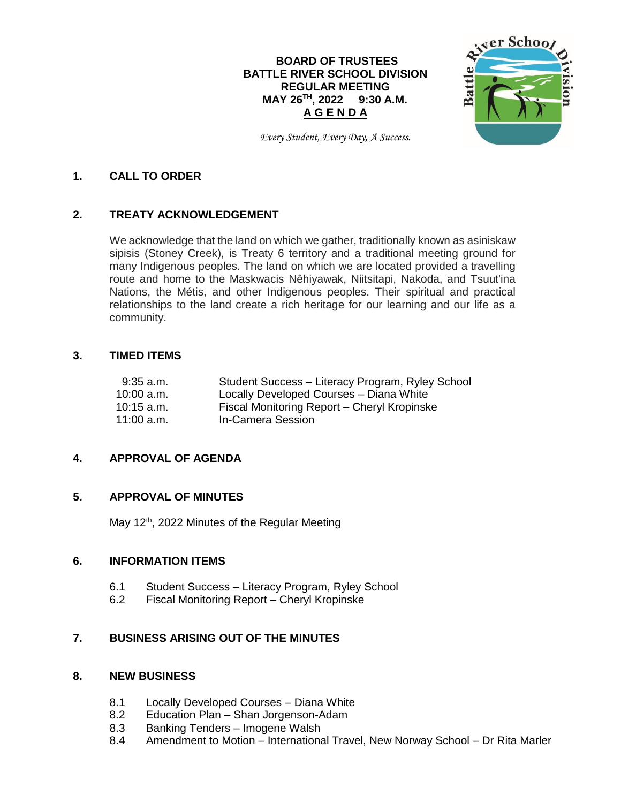## **BOARD OF TRUSTEES BATTLE RIVER SCHOOL DIVISION REGULAR MEETING MAY 26 TH , 2022 9:30 A.M. A G E N D A**



*Every Student, Every Day, A Success.*

#### **1. CALL TO ORDER**

### **2. TREATY ACKNOWLEDGEMENT**

We acknowledge that the land on which we gather, traditionally known as asiniskaw sipisis (Stoney Creek), is Treaty 6 territory and a traditional meeting ground for many Indigenous peoples. The land on which we are located provided a travelling route and home to the Maskwacis Nêhiyawak, Niitsitapi, Nakoda, and Tsuut'ina Nations, the Métis, and other Indigenous peoples. Their spiritual and practical relationships to the land create a rich heritage for our learning and our life as a community.

#### **3. TIMED ITEMS**

| $9:35$ a.m.  | Student Success - Literacy Program, Ryley School |
|--------------|--------------------------------------------------|
| $10:00$ a.m. | Locally Developed Courses - Diana White          |
| $10:15$ a.m. | Fiscal Monitoring Report - Cheryl Kropinske      |
| $11:00$ a.m. | In-Camera Session                                |

### **4. APPROVAL OF AGENDA**

### **5. APPROVAL OF MINUTES**

May 12<sup>th</sup>, 2022 Minutes of the Regular Meeting

#### **6. INFORMATION ITEMS**

- 6.1 Student Success Literacy Program, Ryley School
- 6.2 Fiscal Monitoring Report Cheryl Kropinske

### **7. BUSINESS ARISING OUT OF THE MINUTES**

## **8. NEW BUSINESS**

- 8.1 Locally Developed Courses Diana White
- 8.2 Education Plan Shan Jorgenson-Adam
- 8.3 Banking Tenders Imogene Walsh
- 8.4 Amendment to Motion International Travel, New Norway School Dr Rita Marler